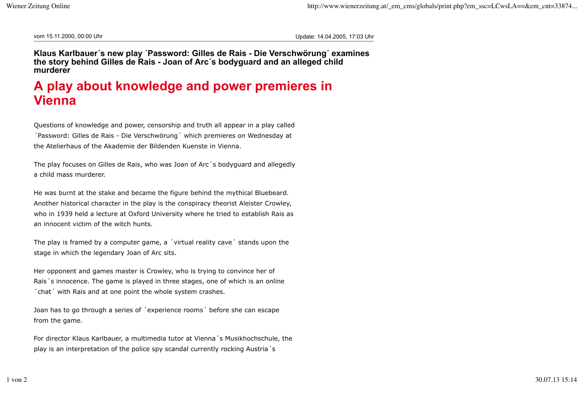vom 15.11.2000, 00:00 Uhr Update: 14.04.2005, 17:03 Uhr

**Klaus Karlbauer´s new play ´Password: Gilles de Rais - Die Verschwörung´ examines the story behind Gilles de Rais - Joan of Arc´s bodyguard and an alleged child murderer**

## **A play about knowledge and power premieres in Vienna**

Questions of knowledge and power, censorship and truth all appear in a play called ´Password: Gilles de Rais - Die Verschwörung´ which premieres on Wednesday at the Atelierhaus of the Akademie der Bildenden Kuenste in Vienna.

The play focuses on Gilles de Rais, who was Joan of Arc´s bodyguard and allegedly a child mass murderer.

He was burnt at the stake and became the figure behind the mythical Bluebeard. Another historical character in the play is the conspiracy theorist Aleister Crowley, who in 1939 held a lecture at Oxford University where he tried to establish Rais as an innocent victim of the witch hunts.

The play is framed by a computer game, a ´virtual reality cave´ stands upon the stage in which the legendary Joan of Arc sits.

Her opponent and games master is Crowley, who is trying to convince her of Rais´s innocence. The game is played in three stages, one of which is an online ´chat´ with Rais and at one point the whole system crashes.

Joan has to go through a series of ´experience rooms´ before she can escape from the game.

For director Klaus Karlbauer, a multimedia tutor at Vienna´s Musikhochschule, the play is an interpretation of the police spy scandal currently rocking Austria´s